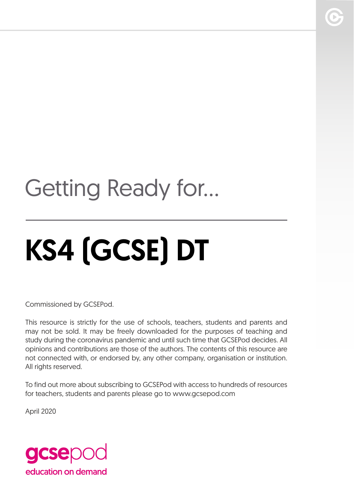# Getting Ready for...

# KS4 (GCSE) DT

Commissioned by GCSEPod.

This resource is strictly for the use of schools, teachers, students and parents and may not be sold. It may be freely downloaded for the purposes of teaching and study during the coronavirus pandemic and until such time that GCSEPod decides. All opinions and contributions are those of the authors. The contents of this resource are not connected with, or endorsed by, any other company, organisation or institution. All rights reserved.

To find out more about subscribing to GCSEPod with access to hundreds of resources for teachers, students and parents please go to www.gcsepod.com

April 2020

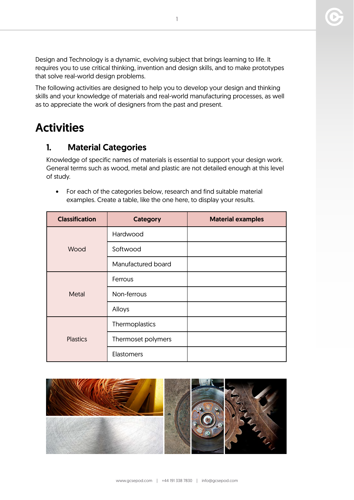Design and Technology is a dynamic, evolving subject that brings learning to life. It requires you to use critical thinking, invention and design skills, and to make prototypes that solve real-world design problems.

The following activities are designed to help you to develop your design and thinking skills and your knowledge of materials and real-world manufacturing processes, as well as to appreciate the work of designers from the past and present.

## **Activities**

#### 1. Material Categories

Knowledge of specific names of materials is essential to support your design work. General terms such as wood, metal and plastic are not detailed enough at this level of study.

• For each of the categories below, research and find suitable material examples. Create a table, like the one here, to display your results.

| <b>Classification</b> | <b>Category</b>    | <b>Material examples</b> |
|-----------------------|--------------------|--------------------------|
| Wood                  | Hardwood           |                          |
|                       | Softwood           |                          |
|                       | Manufactured board |                          |
| <b>Metal</b>          | Ferrous            |                          |
|                       | Non-ferrous        |                          |
|                       | Alloys             |                          |
| <b>Plastics</b>       | Thermoplastics     |                          |
|                       | Thermoset polymers |                          |
|                       | <b>Elastomers</b>  |                          |

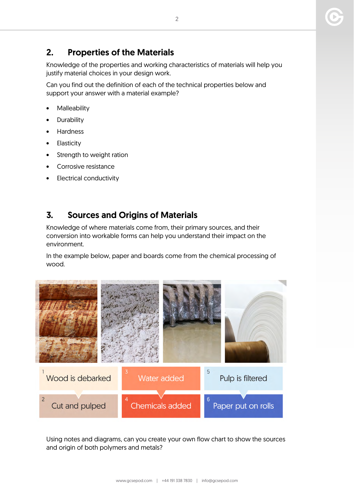### 2. Properties of the Materials

Knowledge of the properties and working characteristics of materials will help you justify material choices in your design work.

Can you find out the definition of each of the technical properties below and support your answer with a material example?

- **Malleability**
- **Durability**
- Hardness
- **Elasticity**
- Strength to weight ration
- Corrosive resistance
- **Electrical conductivity**

#### 3. Sources and Origins of Materials

Knowledge of where materials come from, their primary sources, and their conversion into workable forms can help you understand their impact on the environment.

In the example below, paper and boards come from the chemical processing of wood.



Using notes and diagrams, can you create your own flow chart to show the sources and origin of both polymers and metals?

2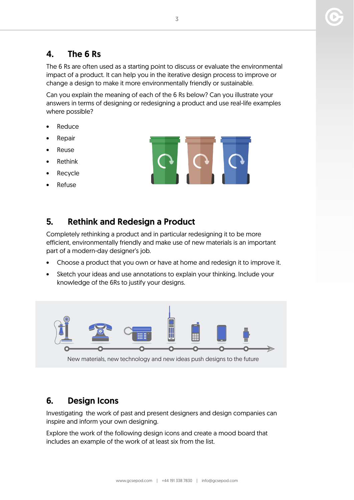#### 4. The 6 Rs

The 6 Rs are often used as a starting point to discuss or evaluate the environmental impact of a product. It can help you in the iterative design process to improve or change a design to make it more environmentally friendly or sustainable.

Can you explain the meaning of each of the 6 Rs below? Can you illustrate your answers in terms of designing or redesigning a product and use real-life examples where possible?

- **Reduce**
- Repair
- **Reuse**
- **Rethink**
- **Recycle**
- Refuse

#### 5. Rethink and Redesign a Product

Completely rethinking a product and in particular redesigning it to be more efficient, environmentally friendly and make use of new materials is an important part of a modern-day designer's job.

- Choose a product that you own or have at home and redesign it to improve it.
- Sketch your ideas and use annotations to explain your thinking. Include your knowledge of the 6Rs to justify your designs.



New materials, new technology and new ideas push designs to the future

#### 6. Design Icons

Investigating the work of past and present designers and design companies can inspire and inform your own designing.

Explore the work of the following design icons and create a mood board that includes an example of the work of at least six from the list.

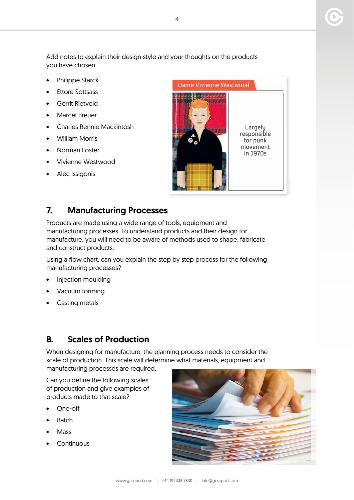Add notes to explain their design style and your thoughts on the products you have chosen.

- Philippe Starck
- Ettore Sottsass
- Gerrit Rietveld
- Marcel Breuer
- Charles Rennie Mackintosh
- William Morris
- Norman Foster
- Vivienne Westwood
- Alec Issigonis



#### 7. Manufacturing Processes

Products are made using a wide range of tools, equipment and manufacturing processes. To understand products and their design for manufacture, you will need to be aware of methods used to shape, fabricate and construct products.

Using a flow chart, can you explain the step by step process for the following manufacturing processes?

- Injection moulding
- Vacuum forming
- Casting metals

#### 8. Scales of Production

When designing for manufacture, the planning process needs to consider the scale of production. This scale will determine what materials, equipment and manufacturing processes are required.

Can you define the following scales of production and give examples of products made to that scale?

- One-off
- **Batch**
- Mass
- **Continuous**



4